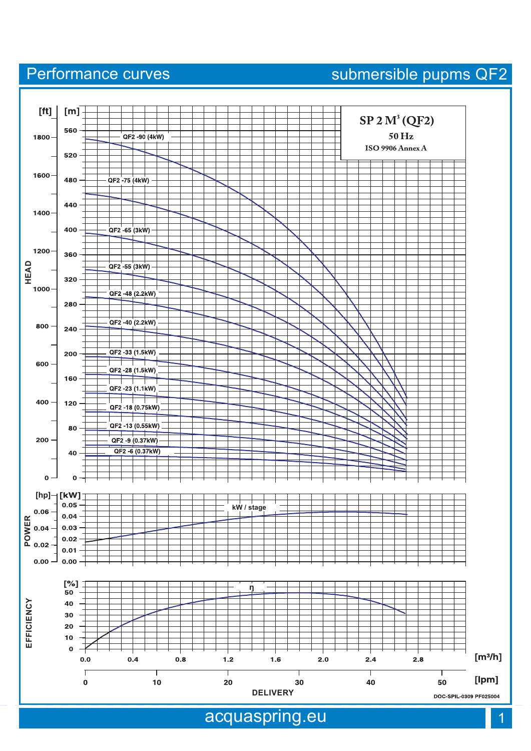## acquaspring.eu



Performance curves submersible pupms QF2